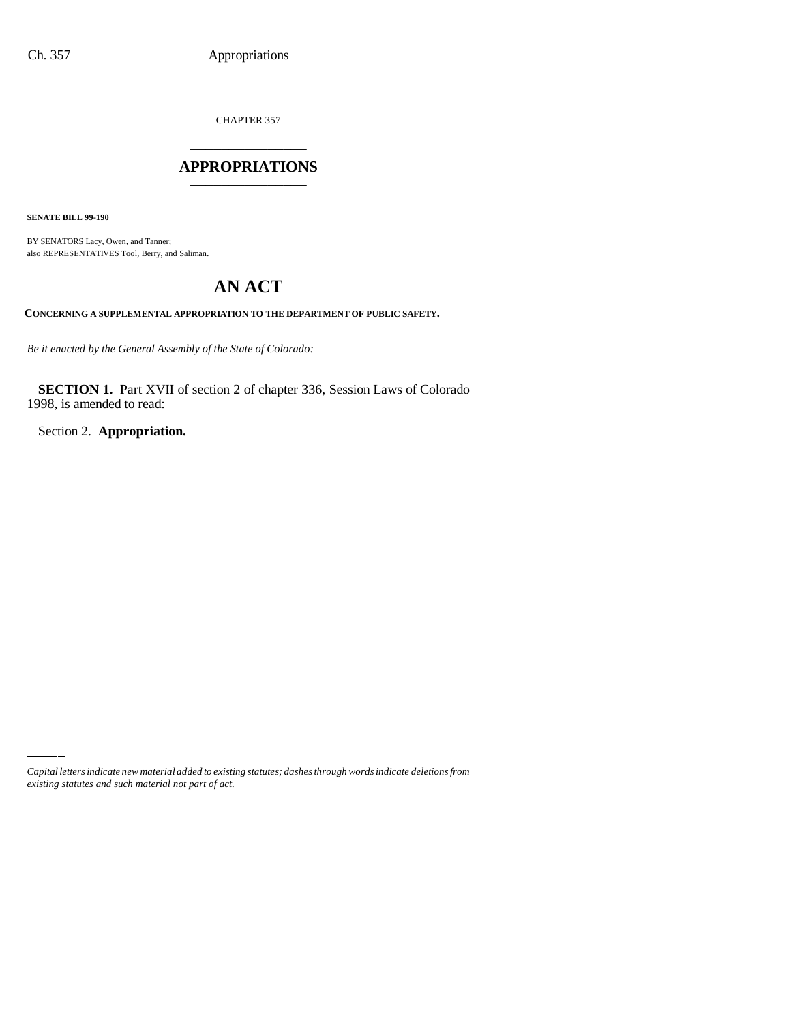CHAPTER 357 \_\_\_\_\_\_\_\_\_\_\_\_\_\_\_

### **APPROPRIATIONS** \_\_\_\_\_\_\_\_\_\_\_\_\_\_\_

**SENATE BILL 99-190**

BY SENATORS Lacy, Owen, and Tanner; also REPRESENTATIVES Tool, Berry, and Saliman.

# **AN ACT**

**CONCERNING A SUPPLEMENTAL APPROPRIATION TO THE DEPARTMENT OF PUBLIC SAFETY.**

*Be it enacted by the General Assembly of the State of Colorado:*

**SECTION 1.** Part XVII of section 2 of chapter 336, Session Laws of Colorado 1998, is amended to read:

Section 2. **Appropriation.**

*Capital letters indicate new material added to existing statutes; dashes through words indicate deletions from existing statutes and such material not part of act.*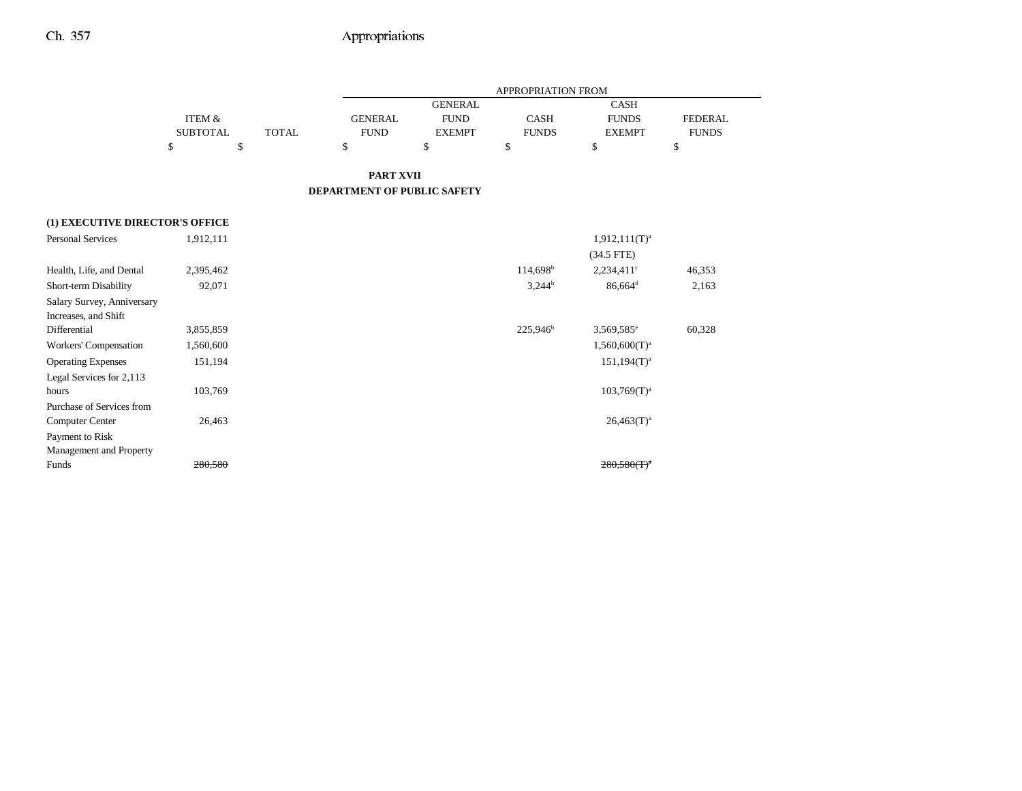-

|                                 |                 |              |                             |                | <b>APPROPRIATION FROM</b> |                                               |                |
|---------------------------------|-----------------|--------------|-----------------------------|----------------|---------------------------|-----------------------------------------------|----------------|
|                                 |                 |              |                             | <b>GENERAL</b> |                           | <b>CASH</b>                                   |                |
|                                 | ITEM &          |              | <b>GENERAL</b>              | <b>FUND</b>    | <b>CASH</b>               | <b>FUNDS</b>                                  | <b>FEDERAL</b> |
|                                 | <b>SUBTOTAL</b> | <b>TOTAL</b> | <b>FUND</b>                 | <b>EXEMPT</b>  | <b>FUNDS</b>              | <b>EXEMPT</b>                                 | <b>FUNDS</b>   |
|                                 | \$              | \$           | \$                          | \$             | \$                        | \$                                            | \$             |
|                                 |                 |              | <b>PART XVII</b>            |                |                           |                                               |                |
|                                 |                 |              | DEPARTMENT OF PUBLIC SAFETY |                |                           |                                               |                |
| (1) EXECUTIVE DIRECTOR'S OFFICE |                 |              |                             |                |                           |                                               |                |
| <b>Personal Services</b>        | 1,912,111       |              |                             |                |                           | $1,912,111(T)^a$                              |                |
|                                 |                 |              |                             |                |                           | $(34.5$ FTE)                                  |                |
| Health, Life, and Dental        | 2,395,462       |              |                             |                | 114,698 <sup>b</sup>      | $2,234,411$ °                                 | 46,353         |
| Short-term Disability           | 92,071          |              |                             |                | $3,244^b$                 | $86,664$ <sup>d</sup>                         | 2,163          |
| Salary Survey, Anniversary      |                 |              |                             |                |                           |                                               |                |
| Increases, and Shift            |                 |              |                             |                |                           |                                               |                |
| Differential                    | 3,855,859       |              |                             |                | 225,946 <sup>b</sup>      | 3,569,585 <sup>e</sup>                        | 60,328         |
| Workers' Compensation           | 1,560,600       |              |                             |                |                           | $1,560,600(T)^a$                              |                |
| <b>Operating Expenses</b>       | 151,194         |              |                             |                |                           | $151,194(T)^a$                                |                |
| Legal Services for 2,113        |                 |              |                             |                |                           |                                               |                |
| hours                           | 103,769         |              |                             |                |                           | $103,769(T)^{a}$                              |                |
| Purchase of Services from       |                 |              |                             |                |                           |                                               |                |
| <b>Computer Center</b>          | 26,463          |              |                             |                |                           | $26,463(T)^a$                                 |                |
| Payment to Risk                 |                 |              |                             |                |                           |                                               |                |
| Management and Property         |                 |              |                             |                |                           |                                               |                |
| Funds                           | 280,580         |              |                             |                |                           | $280,580$ (T) <sup><math>\degree</math></sup> |                |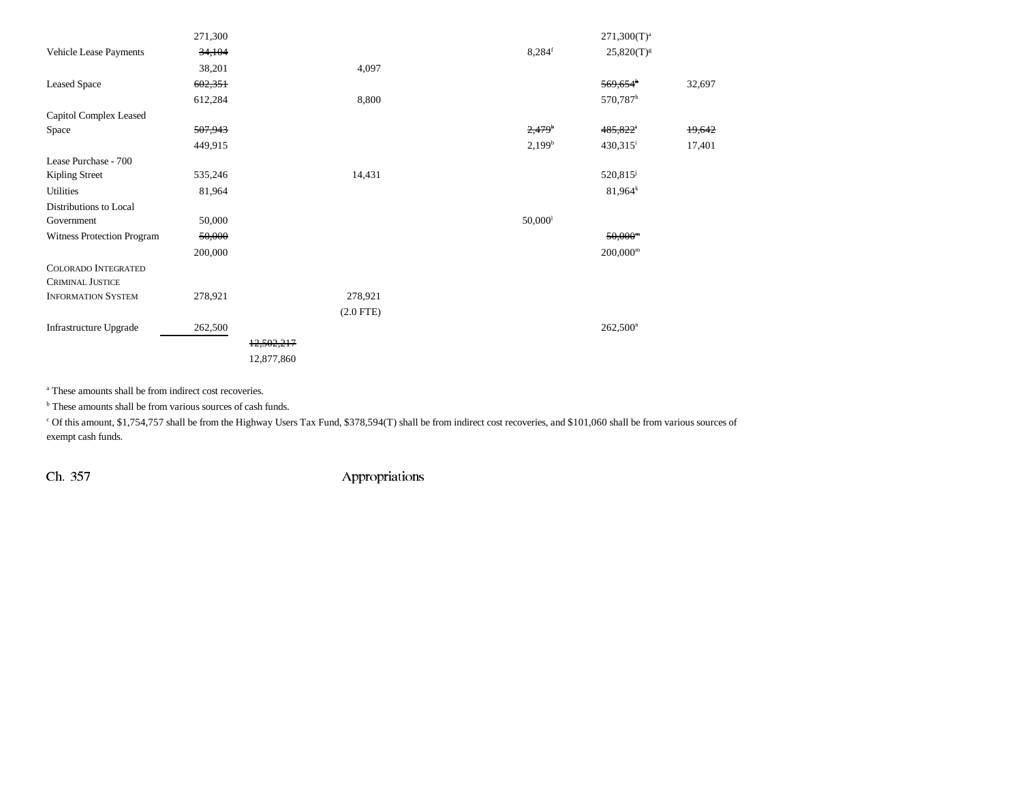|                            | 271,300 |            |                |                       | $271,300(T)^{a}$       |        |
|----------------------------|---------|------------|----------------|-----------------------|------------------------|--------|
| Vehicle Lease Payments     | 34,104  |            |                | $8,284$ <sup>f</sup>  | $25,820(T)^{g}$        |        |
|                            | 38,201  |            | 4,097          |                       |                        |        |
| <b>Leased Space</b>        | 602,351 |            |                |                       | $569,654$ <sup>h</sup> | 32,697 |
|                            | 612,284 |            | 8,800          |                       | 570,787h               |        |
| Capitol Complex Leased     |         |            |                |                       |                        |        |
| Space                      | 507,943 |            |                | $2,479$ <sup>b</sup>  | 485,822 <sup>i</sup>   | 19,642 |
|                            | 449,915 |            |                | 2,199 <sup>b</sup>    | 430,315 <sup>i</sup>   | 17,401 |
| Lease Purchase - 700       |         |            |                |                       |                        |        |
| Kipling Street             | 535,246 |            | 14,431         |                       | $520,815^{\circ}$      |        |
| Utilities                  | 81,964  |            |                |                       | $81,964^k$             |        |
| Distributions to Local     |         |            |                |                       |                        |        |
| Government                 | 50,000  |            |                | $50,000$ <sup>1</sup> |                        |        |
| Witness Protection Program | 50,000  |            |                |                       | $50,000^m$             |        |
|                            | 200,000 |            |                |                       | $200,000^{\rm m}$      |        |
| COLORADO INTEGRATED        |         |            |                |                       |                        |        |
| <b>CRIMINAL JUSTICE</b>    |         |            |                |                       |                        |        |
| <b>INFORMATION SYSTEM</b>  | 278,921 |            | 278,921        |                       |                        |        |
|                            |         |            | $(2.0$ FTE $)$ |                       |                        |        |
| Infrastructure Upgrade     | 262,500 |            |                |                       | $262,500$ <sup>n</sup> |        |
|                            |         | 12,502,217 |                |                       |                        |        |
|                            |         | 12,877,860 |                |                       |                        |        |
|                            |         |            |                |                       |                        |        |

a These amounts shall be from indirect cost recoveries.

<sup>b</sup> These amounts shall be from various sources of cash funds.

c Of this amount, \$1,754,757 shall be from the Highway Users Tax Fund, \$378,594(T) shall be from indirect cost recoveries, and \$101,060 shall be from various sources of exempt cash funds.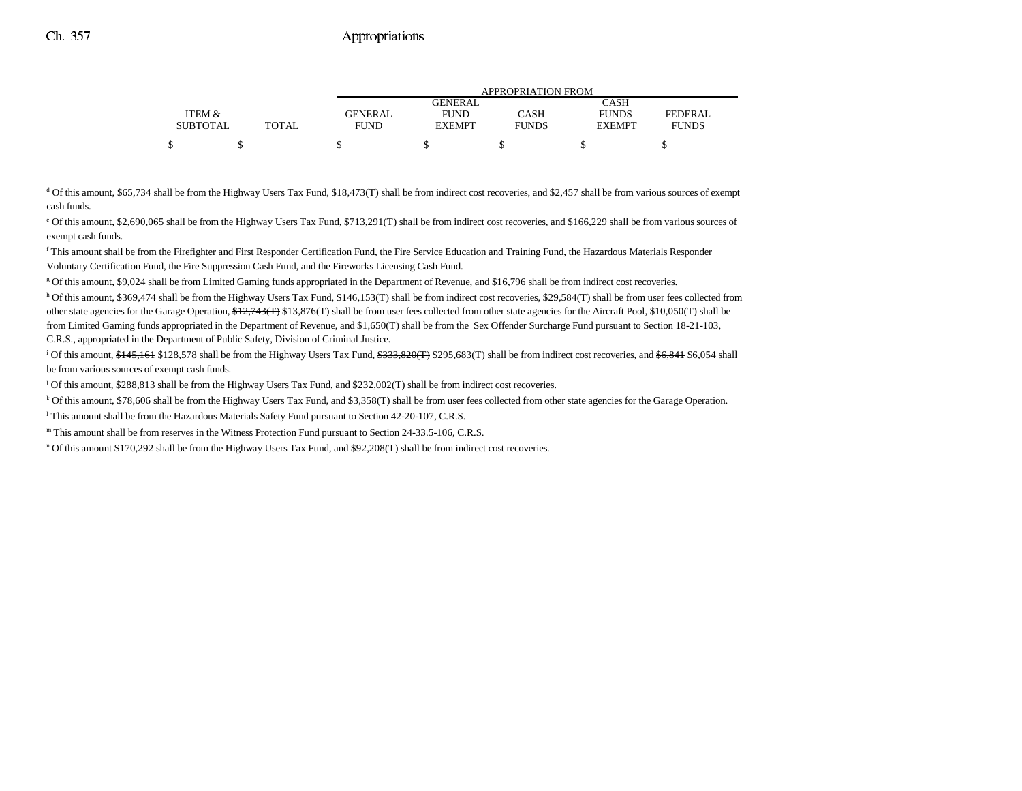|                 |              |                |                | APPROPRIATION FROM |               |              |  |
|-----------------|--------------|----------------|----------------|--------------------|---------------|--------------|--|
|                 |              |                | <b>GENERAL</b> |                    | CASH          |              |  |
| ITEM &          |              | <b>GENERAL</b> | <b>FUND</b>    | CASH               | <b>FUNDS</b>  | FEDERAL      |  |
| <b>SUBTOTAL</b> | <b>TOTAL</b> | FUND           | <b>EXEMPT</b>  | <b>FUNDS</b>       | <b>EXEMPT</b> | <b>FUNDS</b> |  |
|                 |              |                |                |                    |               |              |  |
|                 |              |                |                |                    |               |              |  |

<sup>d</sup> Of this amount, \$65,734 shall be from the Highway Users Tax Fund, \$18,473(T) shall be from indirect cost recoveries, and \$2,457 shall be from various sources of exempt cash funds.

e Of this amount, \$2,690,065 shall be from the Highway Users Tax Fund, \$713,291(T) shall be from indirect cost recoveries, and \$166,229 shall be from various sources of exempt cash funds.

f This amount shall be from the Firefighter and First Responder Certification Fund, the Fire Service Education and Training Fund, the Hazardous Materials Responder Voluntary Certification Fund, the Fire Suppression Cash Fund, and the Fireworks Licensing Cash Fund.

g Of this amount, \$9,024 shall be from Limited Gaming funds appropriated in the Department of Revenue, and \$16,796 shall be from indirect cost recoveries.

h Of this amount, \$369,474 shall be from the Highway Users Tax Fund, \$146,153(T) shall be from indirect cost recoveries, \$29,584(T) shall be from user fees collected from other state agencies for the Garage Operation, \$12,743(T) \$13,876(T) shall be from user fees collected from other state agencies for the Aircraft Pool, \$10,050(T) shall be from Limited Gaming funds appropriated in the Department of Revenue, and \$1,650(T) shall be from the Sex Offender Surcharge Fund pursuant to Section 18-21-103, C.R.S., appropriated in the Department of Public Safety, Division of Criminal Justice.

<sup>i</sup> Of this amount, \$145,161 \$128,578 shall be from the Highway Users Tax Fund, \$333,820(T) \$295,683(T) shall be from indirect cost recoveries, and \$6,841 \$6,054 shall be from various sources of exempt cash funds.

j Of this amount, \$288,813 shall be from the Highway Users Tax Fund, and \$232,002(T) shall be from indirect cost recoveries.

k Of this amount, \$78,606 shall be from the Highway Users Tax Fund, and \$3,358(T) shall be from user fees collected from other state agencies for the Garage Operation.

l This amount shall be from the Hazardous Materials Safety Fund pursuant to Section 42-20-107, C.R.S.

m This amount shall be from reserves in the Witness Protection Fund pursuant to Section 24-33.5-106, C.R.S.

n Of this amount \$170,292 shall be from the Highway Users Tax Fund, and \$92,208(T) shall be from indirect cost recoveries.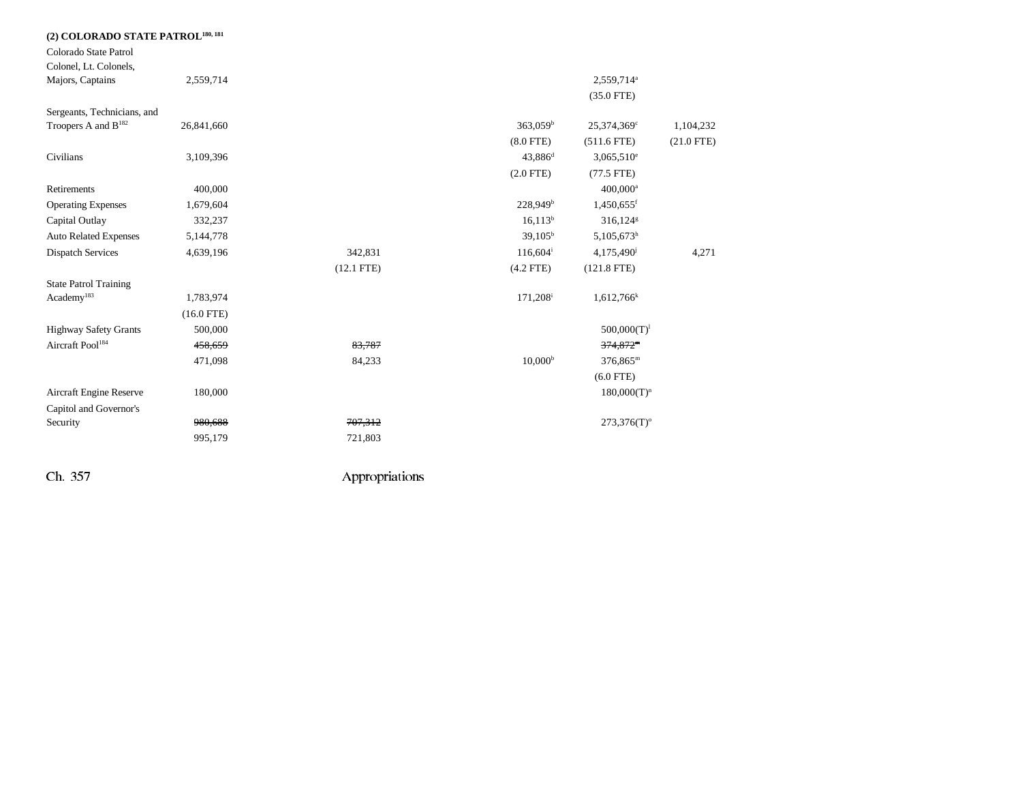| (2) COLORADO STATE PATROL <sup>180, 181</sup> |              |              |                        |                           |              |
|-----------------------------------------------|--------------|--------------|------------------------|---------------------------|--------------|
| Colorado State Patrol                         |              |              |                        |                           |              |
| Colonel, Lt. Colonels,                        |              |              |                        |                           |              |
| Majors, Captains                              | 2,559,714    |              |                        | 2,559,714 <sup>a</sup>    |              |
|                                               |              |              |                        | $(35.0$ FTE)              |              |
| Sergeants, Technicians, and                   |              |              |                        |                           |              |
| Troopers A and B <sup>182</sup>               | 26,841,660   |              | $363,059^{\rm b}$      | 25,374,369°               | 1,104,232    |
|                                               |              |              | $(8.0$ FTE)            | $(511.6$ FTE)             | $(21.0$ FTE) |
| Civilians                                     | 3,109,396    |              | $43,886$ <sup>d</sup>  | $3,065,510^e$             |              |
|                                               |              |              | $(2.0$ FTE)            | $(77.5$ FTE)              |              |
| Retirements                                   | 400,000      |              |                        | 400,000 <sup>a</sup>      |              |
| <b>Operating Expenses</b>                     | 1,679,604    |              | 228,949 <sup>b</sup>   | $1,450,655$ <sup>f</sup>  |              |
| Capital Outlay                                | 332,237      |              | $16,113^b$             | $316,124$ <sup>g</sup>    |              |
| <b>Auto Related Expenses</b>                  | 5,144,778    |              | 39,105 <sup>b</sup>    | 5,105,673h                |              |
| <b>Dispatch Services</b>                      | 4,639,196    | 342,831      | $116,604^{\mathrm{i}}$ | 4,175,490                 | 4,271        |
|                                               |              | $(12.1$ FTE) | $(4.2$ FTE)            | $(121.8$ FTE)             |              |
| <b>State Patrol Training</b>                  |              |              |                        |                           |              |
| Academy <sup>183</sup>                        | 1,783,974    |              | 171,208 <sup>i</sup>   | $1,612,766$ <sup>k</sup>  |              |
|                                               | $(16.0$ FTE) |              |                        |                           |              |
| <b>Highway Safety Grants</b>                  | 500,000      |              |                        | $500,000(T)^1$            |              |
| Aircraft Pool <sup>184</sup>                  | 458,659      | 83,787       |                        | $374,872$ <sup>m</sup>    |              |
|                                               | 471,098      | 84,233       | 10,000 <sup>b</sup>    | $376,865^{\rm m}$         |              |
|                                               |              |              |                        | $(6.0$ FTE)               |              |
| Aircraft Engine Reserve                       | 180,000      |              |                        | $180,000(T)^n$            |              |
| Capitol and Governor's                        |              |              |                        |                           |              |
| Security                                      | 980,688      | 707,312      |                        | $273,376(T)$ <sup>o</sup> |              |
|                                               | 995,179      | 721,803      |                        |                           |              |
|                                               |              |              |                        |                           |              |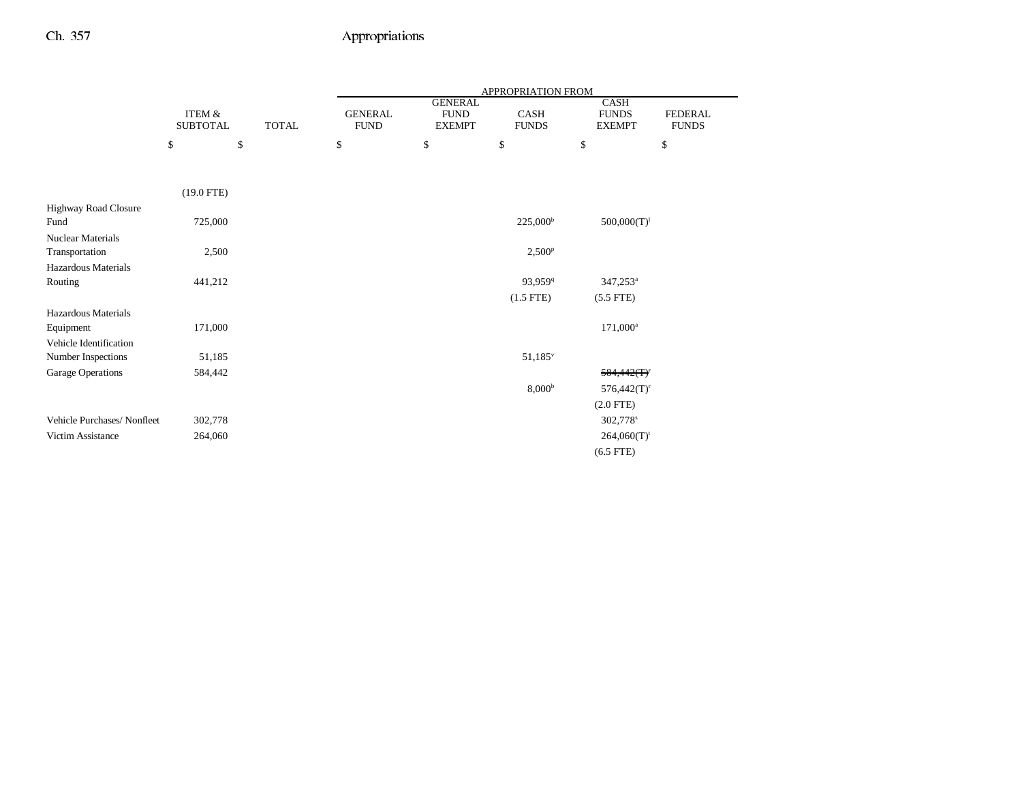|                            |                                      |              |                               |                                                | APPROPRIATION FROM          |                                              |                                |
|----------------------------|--------------------------------------|--------------|-------------------------------|------------------------------------------------|-----------------------------|----------------------------------------------|--------------------------------|
|                            | <b>ITEM &amp;</b><br><b>SUBTOTAL</b> | <b>TOTAL</b> | <b>GENERAL</b><br><b>FUND</b> | <b>GENERAL</b><br><b>FUND</b><br><b>EXEMPT</b> | <b>CASH</b><br><b>FUNDS</b> | <b>CASH</b><br><b>FUNDS</b><br><b>EXEMPT</b> | <b>FEDERAL</b><br><b>FUNDS</b> |
|                            | \$                                   | \$           | \$                            | \$                                             | \$                          | \$                                           | \$                             |
|                            |                                      |              |                               |                                                |                             |                                              |                                |
|                            | $(19.0$ FTE)                         |              |                               |                                                |                             |                                              |                                |
| Highway Road Closure       |                                      |              |                               |                                                |                             |                                              |                                |
| Fund                       | 725,000                              |              |                               |                                                | $225,000^{\rm b}$           | $500,000(T)^1$                               |                                |
| <b>Nuclear Materials</b>   |                                      |              |                               |                                                |                             |                                              |                                |
| Transportation             | 2,500                                |              |                               |                                                | 2,500 <sup>p</sup>          |                                              |                                |
| Hazardous Materials        |                                      |              |                               |                                                |                             |                                              |                                |
| Routing                    | 441,212                              |              |                               |                                                | 93,959 <sup>q</sup>         | $347,253^a$                                  |                                |
|                            |                                      |              |                               |                                                | $(1.5$ FTE)                 | $(5.5$ FTE)                                  |                                |
| Hazardous Materials        |                                      |              |                               |                                                |                             |                                              |                                |
| Equipment                  | 171,000                              |              |                               |                                                |                             | $171,000^a$                                  |                                |
| Vehicle Identification     |                                      |              |                               |                                                |                             |                                              |                                |
| Number Inspections         | 51,185                               |              |                               |                                                | $51,185^v$                  |                                              |                                |
| Garage Operations          | 584,442                              |              |                               |                                                |                             | 584,442(T)                                   |                                |
|                            |                                      |              |                               |                                                | 8,000 <sup>b</sup>          | $576,442(T)^r$                               |                                |
|                            |                                      |              |                               |                                                |                             | $(2.0$ FTE)                                  |                                |
| Vehicle Purchases/Nonfleet | 302,778                              |              |                               |                                                |                             | 302,778 <sup>s</sup>                         |                                |
| Victim Assistance          | 264,060                              |              |                               |                                                |                             | $264,060(T)$ <sup>t</sup>                    |                                |
|                            |                                      |              |                               |                                                |                             | $(6.5$ FTE)                                  |                                |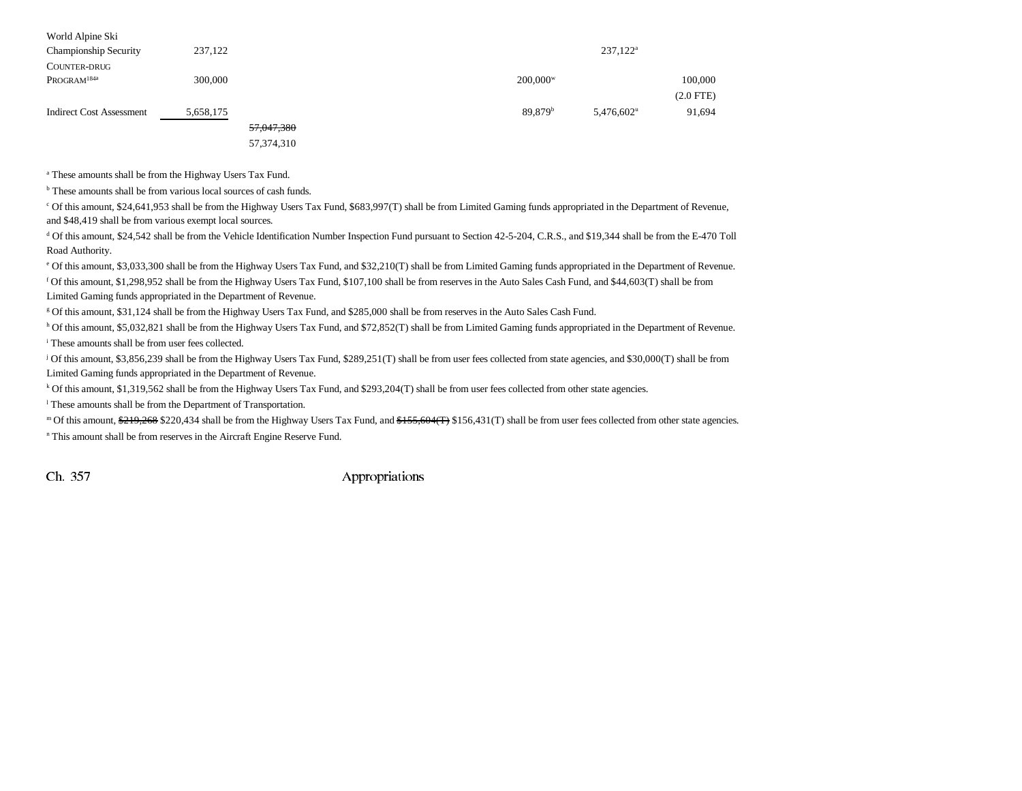| World Alpine Ski<br>Championship Security<br><b>COUNTER-DRUG</b> | 237,122   |              |  |                       | 237,122 <sup>a</sup> |                |
|------------------------------------------------------------------|-----------|--------------|--|-----------------------|----------------------|----------------|
| PROGRAM <sup>184a</sup>                                          | 300,000   |              |  | $200,000^w$           |                      | 100,000        |
|                                                                  |           |              |  |                       |                      | $(2.0$ FTE $)$ |
| <b>Indirect Cost Assessment</b>                                  | 5,658,175 |              |  | $89,879$ <sup>b</sup> | $5,476,602^u$        | 91,694         |
|                                                                  |           | 57,047,380   |  |                       |                      |                |
|                                                                  |           | 57, 374, 310 |  |                       |                      |                |

a These amounts shall be from the Highway Users Tax Fund.

<sup>b</sup> These amounts shall be from various local sources of cash funds.

c Of this amount, \$24,641,953 shall be from the Highway Users Tax Fund, \$683,997(T) shall be from Limited Gaming funds appropriated in the Department of Revenue, and \$48,419 shall be from various exempt local sources.

d Of this amount, \$24,542 shall be from the Vehicle Identification Number Inspection Fund pursuant to Section 42-5-204, C.R.S., and \$19,344 shall be from the E-470 Toll Road Authority.

e Of this amount, \$3,033,300 shall be from the Highway Users Tax Fund, and \$32,210(T) shall be from Limited Gaming funds appropriated in the Department of Revenue.

f Of this amount, \$1,298,952 shall be from the Highway Users Tax Fund, \$107,100 shall be from reserves in the Auto Sales Cash Fund, and \$44,603(T) shall be from Limited Gaming funds appropriated in the Department of Revenue.

g Of this amount, \$31,124 shall be from the Highway Users Tax Fund, and \$285,000 shall be from reserves in the Auto Sales Cash Fund.

h Of this amount, \$5,032,821 shall be from the Highway Users Tax Fund, and \$72,852(T) shall be from Limited Gaming funds appropriated in the Department of Revenue. i These amounts shall be from user fees collected.

j Of this amount, \$3,856,239 shall be from the Highway Users Tax Fund, \$289,251(T) shall be from user fees collected from state agencies, and \$30,000(T) shall be from Limited Gaming funds appropriated in the Department of Revenue.

k Of this amount, \$1,319,562 shall be from the Highway Users Tax Fund, and \$293,204(T) shall be from user fees collected from other state agencies.

l These amounts shall be from the Department of Transportation.

m Of this amount, \$219,268 \$220,434 shall be from the Highway Users Tax Fund, and \$155,604(T) \$156,431(T) shall be from user fees collected from other state agencies.

n This amount shall be from reserves in the Aircraft Engine Reserve Fund.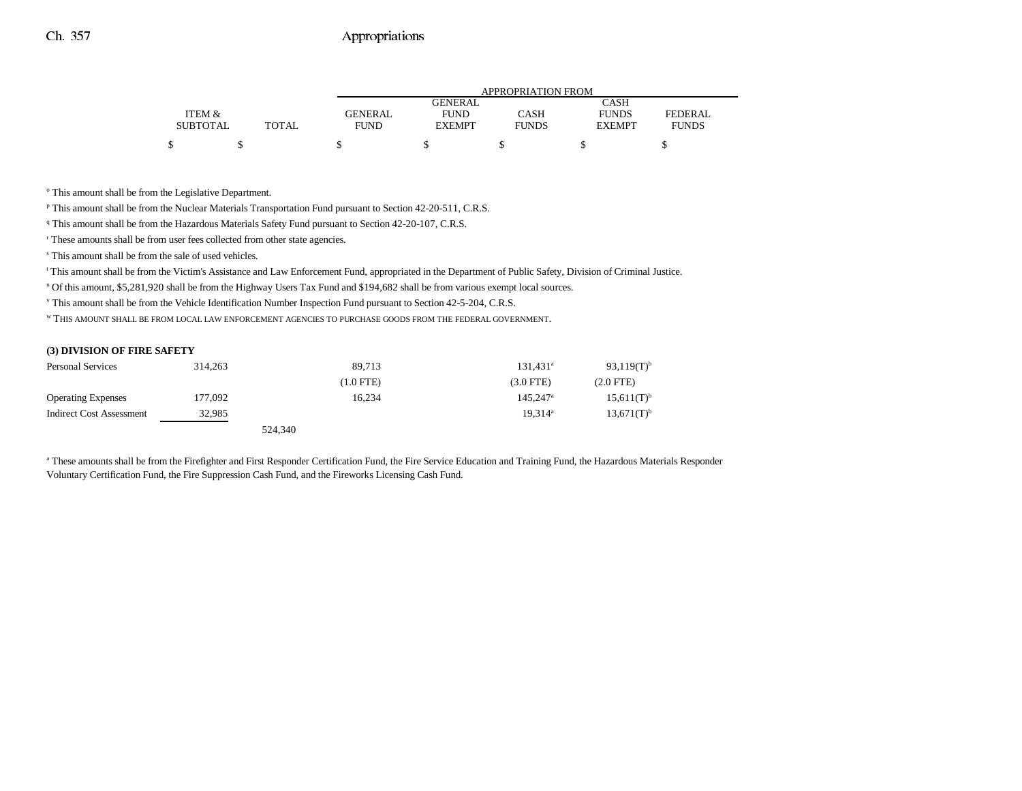|                 |       |                |                | <b>APPROPRIATION FROM</b> |               |                |
|-----------------|-------|----------------|----------------|---------------------------|---------------|----------------|
|                 |       |                | <b>GENERAL</b> |                           | <b>CASH</b>   |                |
| ITEM &          |       | <b>GENERAL</b> | <b>FUND</b>    | CASH                      | <b>FUNDS</b>  | <b>FEDERAL</b> |
| <b>SUBTOTAL</b> | TOTAL | <b>FUND</b>    | <b>EXEMPT</b>  | <b>FUNDS</b>              | <b>EXEMPT</b> | <b>FUNDS</b>   |
|                 |       |                |                |                           |               |                |

<sup>o</sup> This amount shall be from the Legislative Department.

p This amount shall be from the Nuclear Materials Transportation Fund pursuant to Section 42-20-511, C.R.S.

<sup>q</sup> This amount shall be from the Hazardous Materials Safety Fund pursuant to Section 42-20-107, C.R.S.

r These amounts shall be from user fees collected from other state agencies.

s This amount shall be from the sale of used vehicles.

t This amount shall be from the Victim's Assistance and Law Enforcement Fund, appropriated in the Department of Public Safety, Division of Criminal Justice.

u Of this amount, \$5,281,920 shall be from the Highway Users Tax Fund and \$194,682 shall be from various exempt local sources.

v This amount shall be from the Vehicle Identification Number Inspection Fund pursuant to Section 42-5-204, C.R.S.

W THIS AMOUNT SHALL BE FROM LOCAL LAW ENFORCEMENT AGENCIES TO PURCHASE GOODS FROM THE FEDERAL GOVERNMENT.

#### **(3) DIVISION OF FIRE SAFETY**

| <b>Personal Services</b>        | 314,263 | 89.713      | 131.431 <sup>a</sup>   | $93.119(T)^{b}$ |
|---------------------------------|---------|-------------|------------------------|-----------------|
|                                 |         | $(1.0$ FTE) | $(3.0$ FTE $)$         | $(2.0$ FTE $)$  |
| <b>Operating Expenses</b>       | 177,092 | 16.234      | $145.247$ <sup>a</sup> | $15,611(T)^{b}$ |
| <b>Indirect Cost Assessment</b> | 32.985  |             | $19.314^a$             | $13,671(T)^{b}$ |
|                                 |         | 524,340     |                        |                 |

a These amounts shall be from the Firefighter and First Responder Certification Fund, the Fire Service Education and Training Fund, the Hazardous Materials Responder Voluntary Certification Fund, the Fire Suppression Cash Fund, and the Fireworks Licensing Cash Fund.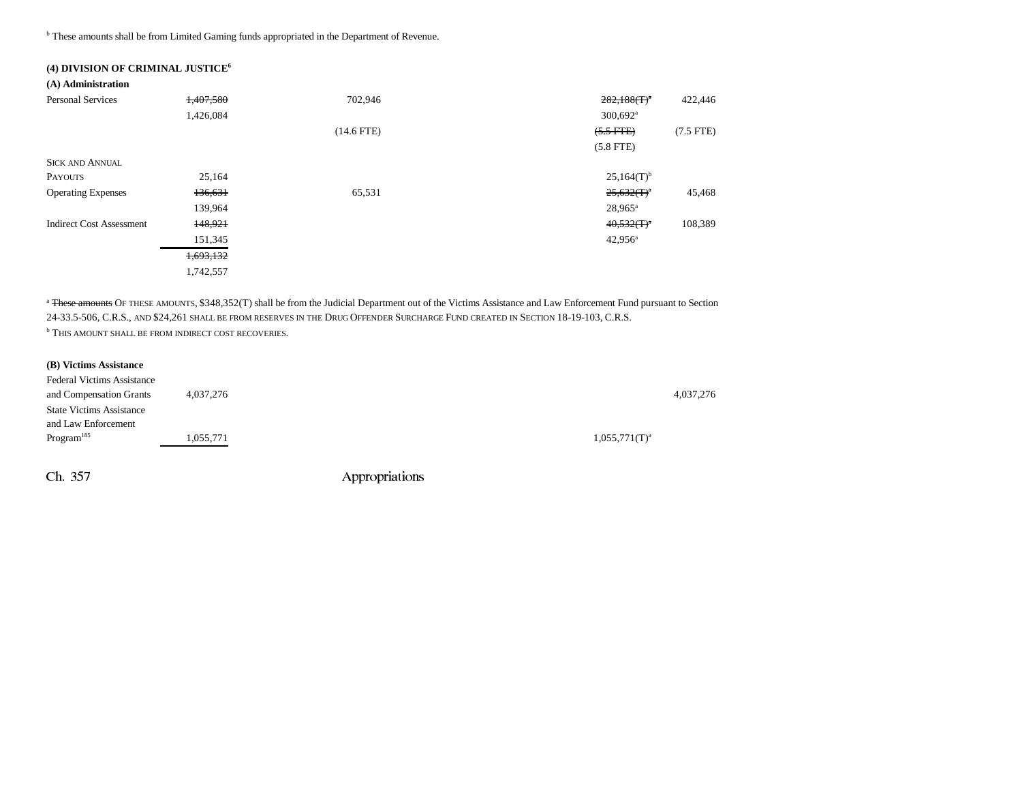**b** These amounts shall be from Limited Gaming funds appropriated in the Department of Revenue.

| (4) DIVISION OF CRIMINAL JUSTICE <sup>6</sup> |           |              |                             |
|-----------------------------------------------|-----------|--------------|-----------------------------|
| (A) Administration                            |           |              |                             |
| <b>Personal Services</b>                      | 1.407.580 | 702,946      | $282,188(T)^{a}$<br>422,446 |
|                                               | 1,426,084 |              | $300,692$ <sup>a</sup>      |
|                                               |           | $(14.6$ FTE) | $(5.5$ FTE)<br>$(7.5$ FTE)  |
|                                               |           |              | $(5.8$ FTE)                 |
| <b>SICK AND ANNUAL</b>                        |           |              |                             |
| <b>PAYOUTS</b>                                | 25,164    |              | $25,164(T)$ <sup>b</sup>    |
| <b>Operating Expenses</b>                     | 136,631   | 65,531       | $25,632(T)^n$<br>45,468     |
|                                               | 139,964   |              | $28,965^{\rm a}$            |
| <b>Indirect Cost Assessment</b>               | 148,921   |              | $40,532(T)^{a}$<br>108,389  |
|                                               | 151,345   |              | $42,956^{\circ}$            |
|                                               | 1,693,132 |              |                             |
|                                               | 1,742,557 |              |                             |

<sup>a</sup> These amounts OF THESE AMOUNTS, \$348,352(T) shall be from the Judicial Department out of the Victims Assistance and Law Enforcement Fund pursuant to Section 24-33.5-506, C.R.S., and \$24,261 shall be from reserves in the Drug Offender Surcharge Fund created in Section 18-19-103, C.R.S. **b THIS AMOUNT SHALL BE FROM INDIRECT COST RECOVERIES.** 

#### **(B) Victims Assistance**

| <b>Federal Victims Assistance</b> |           |                  |           |
|-----------------------------------|-----------|------------------|-----------|
| and Compensation Grants           | 4,037,276 |                  | 4,037,276 |
| <b>State Victims Assistance</b>   |           |                  |           |
| and Law Enforcement               |           |                  |           |
| Program <sup>185</sup>            | 1.055.771 | $1,055,771(T)^a$ |           |
|                                   |           |                  |           |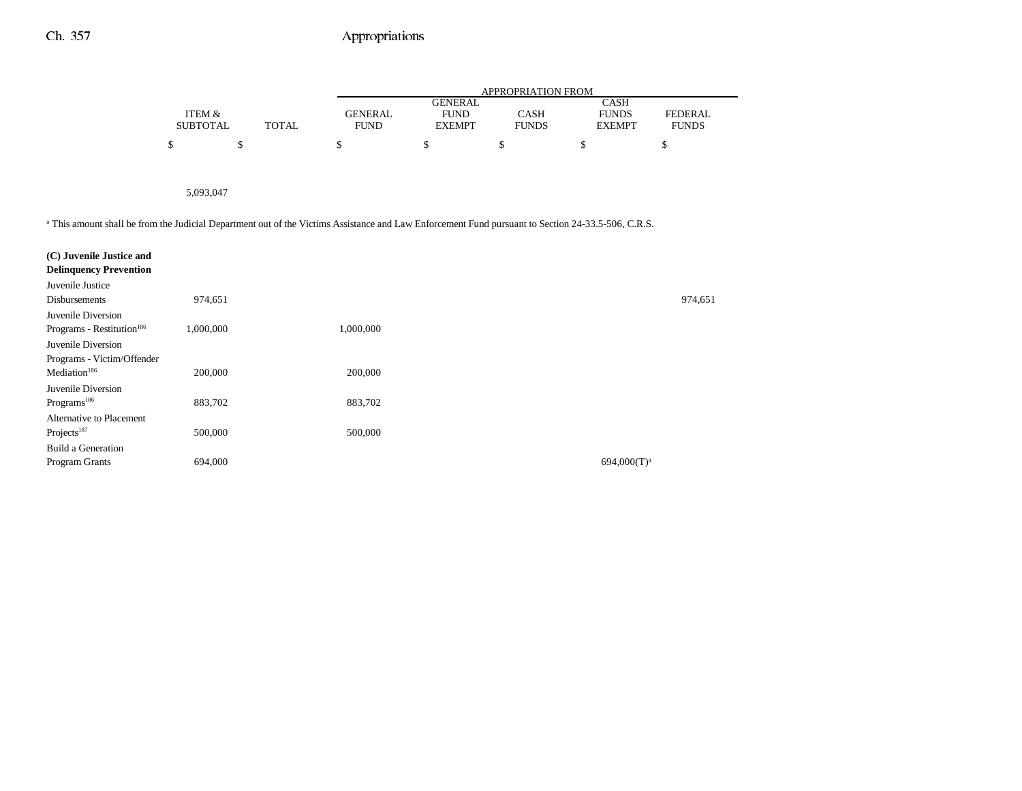|                 |       |             |               | APPROPRIATION FROM |               |              |
|-----------------|-------|-------------|---------------|--------------------|---------------|--------------|
|                 |       |             | GENERAL       |                    | CASH          |              |
| ITEM &          |       | GENERAL     | <b>FUND</b>   | CASH               | <b>FUNDS</b>  | FEDERAL      |
| <b>SUBTOTAL</b> | TOTAL | <b>FUND</b> | <b>EXEMPT</b> | <b>FUNDS</b>       | <b>EXEMPT</b> | <b>FUNDS</b> |
|                 |       |             |               |                    |               |              |

5,093,047

<sup>a</sup> This amount shall be from the Judicial Department out of the Victims Assistance and Law Enforcement Fund pursuant to Section 24-33.5-506, C.R.S.

| 974,651   |           |                |
|-----------|-----------|----------------|
|           |           |                |
| 1,000,000 | 1,000,000 |                |
|           |           |                |
|           |           |                |
| 200,000   | 200,000   |                |
|           |           |                |
| 883,702   | 883,702   |                |
|           |           |                |
| 500,000   | 500,000   |                |
|           |           |                |
| 694,000   |           | $694,000(T)^a$ |
|           |           |                |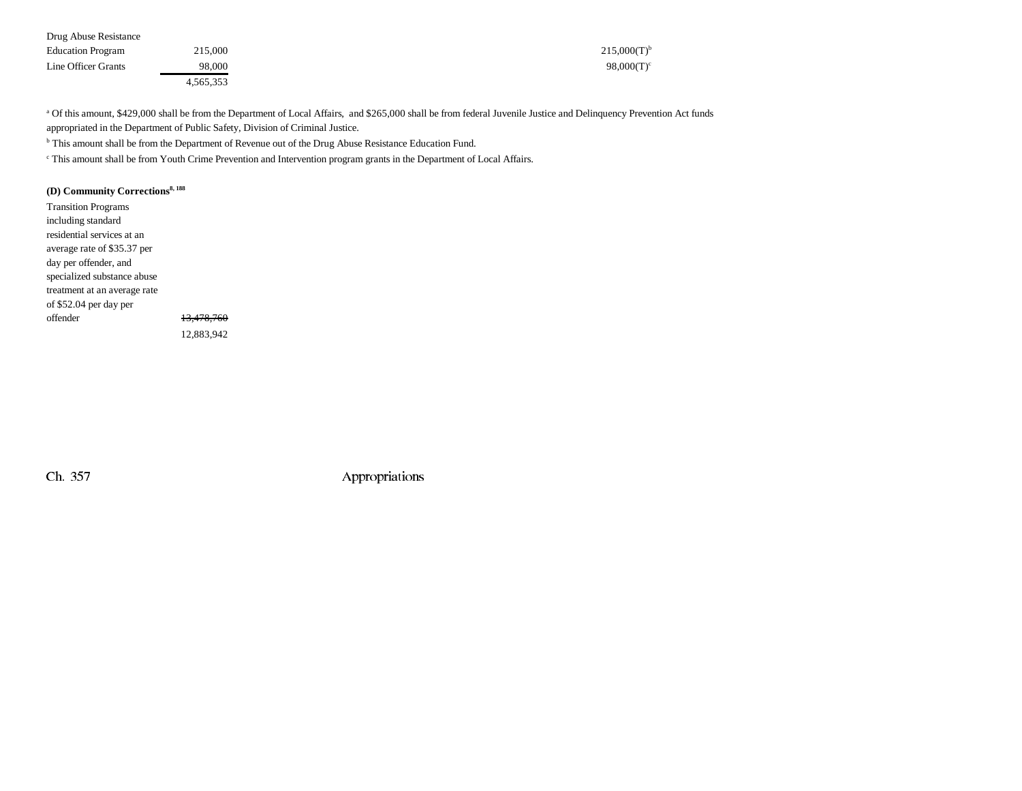| Drug Abuse Resistance    |           |                  |
|--------------------------|-----------|------------------|
| <b>Education Program</b> | 215,000   | $215.000(T)^{b}$ |
| Line Officer Grants      | 98.000    | $98,000(T)^c$    |
|                          | 4,565,353 |                  |

a Of this amount, \$429,000 shall be from the Department of Local Affairs, and \$265,000 shall be from federal Juvenile Justice and Delinquency Prevention Act funds appropriated in the Department of Public Safety, Division of Criminal Justice.

b This amount shall be from the Department of Revenue out of the Drug Abuse Resistance Education Fund.

c This amount shall be from Youth Crime Prevention and Intervention program grants in the Department of Local Affairs.

### **(D) Community Corrections8, 188**

Transition Programs including standard residential services at an average rate of \$35.37 per day per offender, and specialized substance abuse treatment at an average rate of \$52.04 per day per offender 13,478,760 12,883,942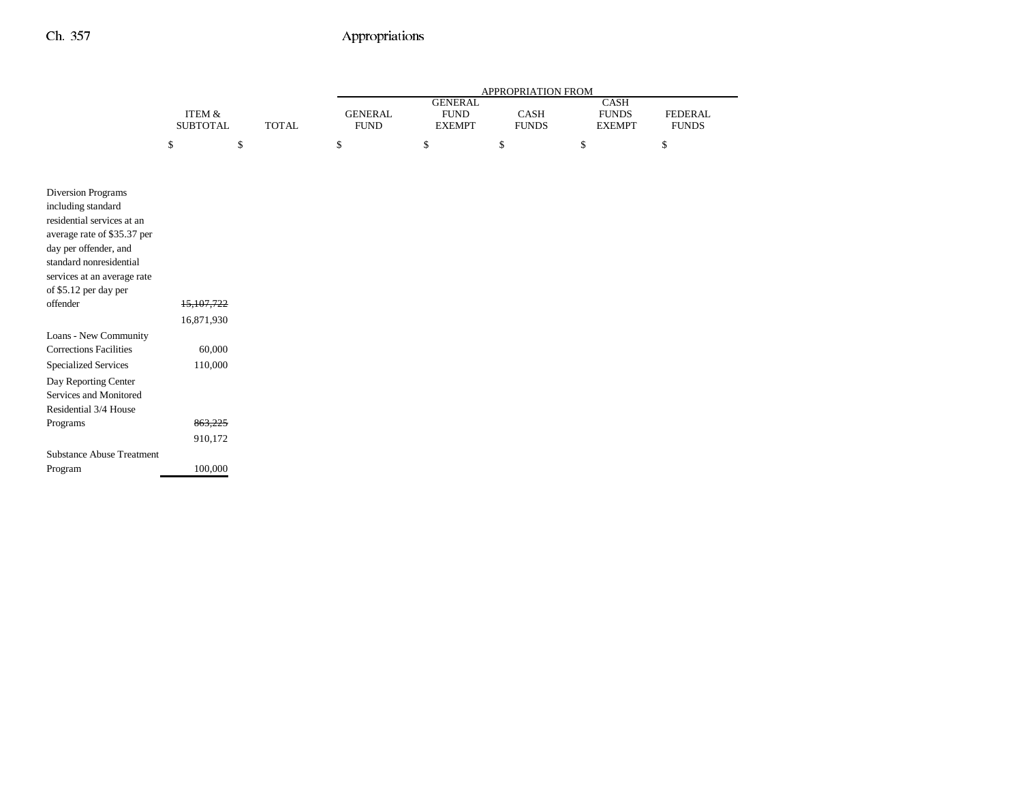|                                                      |                   |              | APPROPRIATION FROM |                |              |               |                |
|------------------------------------------------------|-------------------|--------------|--------------------|----------------|--------------|---------------|----------------|
|                                                      |                   |              |                    | <b>GENERAL</b> |              | CASH          |                |
|                                                      | <b>ITEM &amp;</b> |              | <b>GENERAL</b>     | <b>FUND</b>    | CASH         | <b>FUNDS</b>  | <b>FEDERAL</b> |
|                                                      | <b>SUBTOTAL</b>   | <b>TOTAL</b> | <b>FUND</b>        | <b>EXEMPT</b>  | <b>FUNDS</b> | <b>EXEMPT</b> | <b>FUNDS</b>   |
|                                                      | \$                | \$           | \$                 | \$             | \$           | \$            | \$             |
|                                                      |                   |              |                    |                |              |               |                |
|                                                      |                   |              |                    |                |              |               |                |
| <b>Diversion Programs</b>                            |                   |              |                    |                |              |               |                |
| including standard                                   |                   |              |                    |                |              |               |                |
| residential services at an                           |                   |              |                    |                |              |               |                |
| average rate of \$35.37 per<br>day per offender, and |                   |              |                    |                |              |               |                |
| standard nonresidential                              |                   |              |                    |                |              |               |                |
| services at an average rate                          |                   |              |                    |                |              |               |                |
| of \$5.12 per day per                                |                   |              |                    |                |              |               |                |
| offender                                             | 15,107,722        |              |                    |                |              |               |                |
|                                                      | 16,871,930        |              |                    |                |              |               |                |
| Loans - New Community                                |                   |              |                    |                |              |               |                |
| <b>Corrections Facilities</b>                        | 60,000            |              |                    |                |              |               |                |
| <b>Specialized Services</b>                          | 110,000           |              |                    |                |              |               |                |
| Day Reporting Center                                 |                   |              |                    |                |              |               |                |
| Services and Monitored                               |                   |              |                    |                |              |               |                |
| Residential 3/4 House                                |                   |              |                    |                |              |               |                |
| Programs                                             | 863,225           |              |                    |                |              |               |                |
|                                                      | 910,172           |              |                    |                |              |               |                |
| <b>Substance Abuse Treatment</b>                     |                   |              |                    |                |              |               |                |
| Program                                              | 100,000           |              |                    |                |              |               |                |
|                                                      |                   |              |                    |                |              |               |                |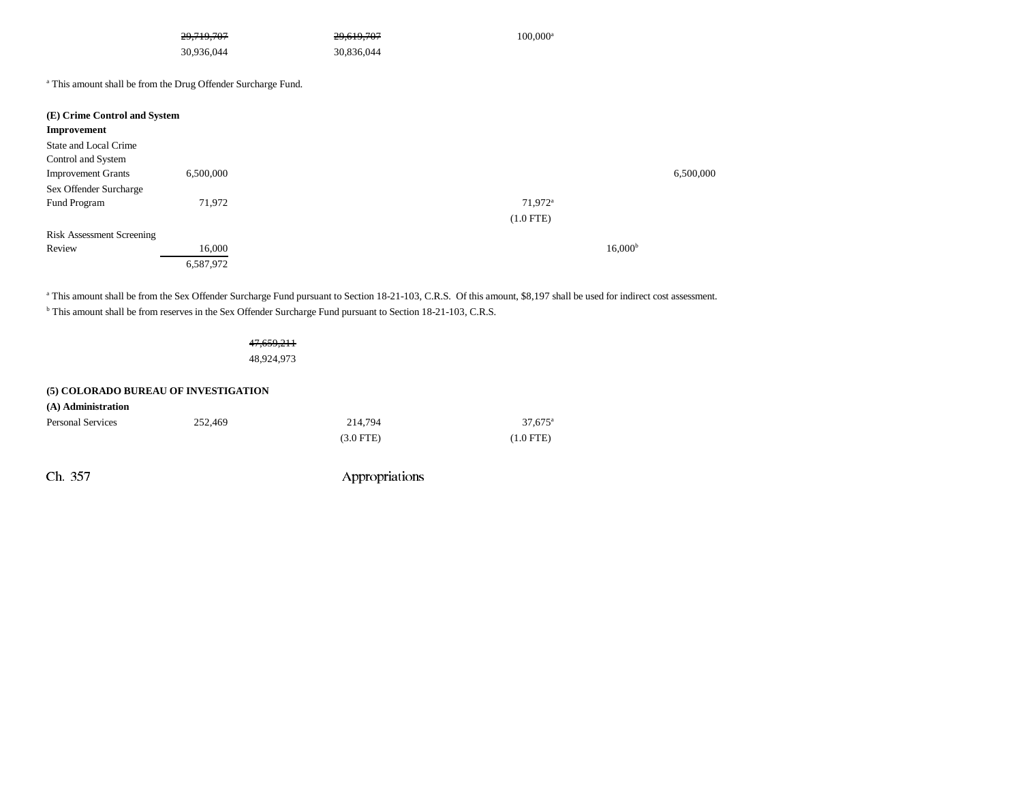|                                  | 29,719,707                                                               | 29,619,707 | $100,000^{\rm a}$     |                     |
|----------------------------------|--------------------------------------------------------------------------|------------|-----------------------|---------------------|
|                                  | 30,936,044                                                               | 30,836,044 |                       |                     |
|                                  | <sup>a</sup> This amount shall be from the Drug Offender Surcharge Fund. |            |                       |                     |
| (E) Crime Control and System     |                                                                          |            |                       |                     |
| Improvement                      |                                                                          |            |                       |                     |
| State and Local Crime            |                                                                          |            |                       |                     |
| Control and System               |                                                                          |            |                       |                     |
| <b>Improvement Grants</b>        | 6,500,000                                                                |            |                       | 6,500,000           |
| Sex Offender Surcharge           |                                                                          |            |                       |                     |
| Fund Program                     | 71,972                                                                   |            | $71,972$ <sup>a</sup> |                     |
|                                  |                                                                          |            | $(1.0$ FTE)           |                     |
| <b>Risk Assessment Screening</b> |                                                                          |            |                       |                     |
| Review                           | 16,000                                                                   |            |                       | 16,000 <sup>b</sup> |
|                                  | 6,587,972                                                                |            |                       |                     |

<sup>a</sup> This amount shall be from the Sex Offender Surcharge Fund pursuant to Section 18-21-103, C.R.S. Of this amount, \$8,197 shall be used for indirect cost assessment.

b This amount shall be from reserves in the Sex Offender Surcharge Fund pursuant to Section 18-21-103, C.R.S.

47,659,211 48,924,973

#### **(5) COLORADO BUREAU OF INVESTIGATION**

| (A) Administration       |         |             |                  |
|--------------------------|---------|-------------|------------------|
| <b>Personal Services</b> | 252,469 | 214,794     | $37.675^{\circ}$ |
|                          |         | $(3.0$ FTE) | $(1.0$ FTE)      |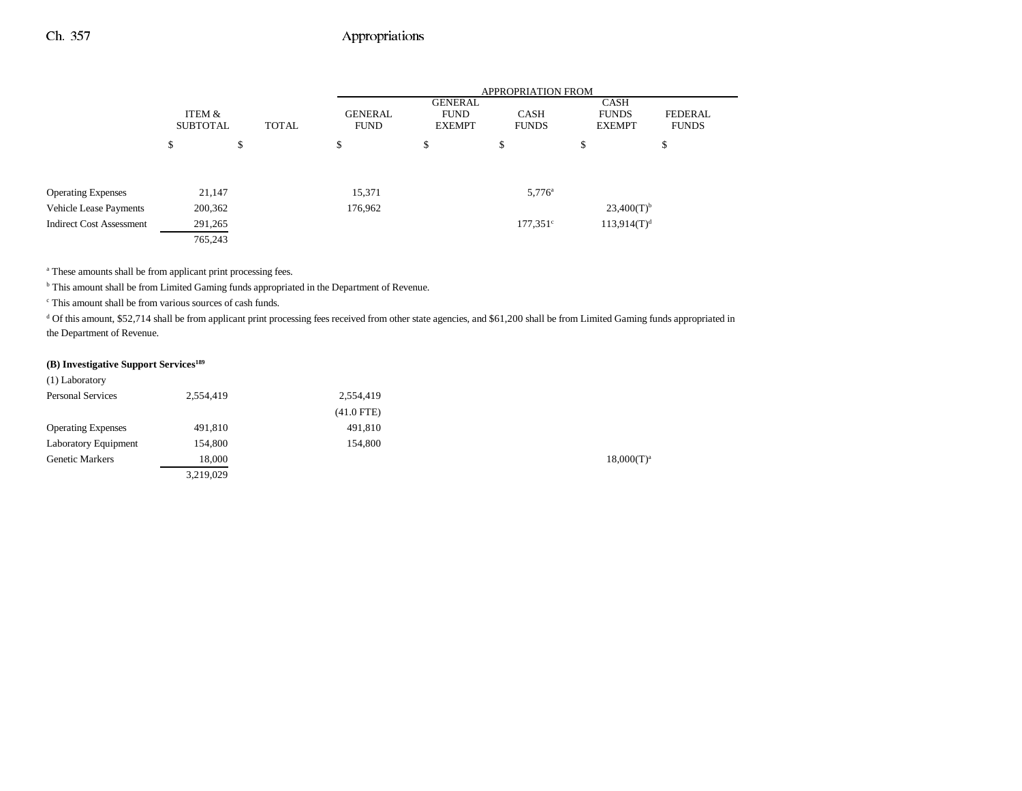|                                 |                           |                                |         | <b>APPROPRIATION FROM</b>                      |                             |                                       |                                |  |  |  |
|---------------------------------|---------------------------|--------------------------------|---------|------------------------------------------------|-----------------------------|---------------------------------------|--------------------------------|--|--|--|
|                                 | ITEM &<br><b>SUBTOTAL</b> | <b>GENERAL</b><br><b>TOTAL</b> |         | <b>GENERAL</b><br><b>FUND</b><br><b>EXEMPT</b> | <b>CASH</b><br><b>FUNDS</b> | CASH<br><b>FUNDS</b><br><b>EXEMPT</b> | <b>FEDERAL</b><br><b>FUNDS</b> |  |  |  |
|                                 | \$                        | \$                             | \$      | \$                                             | \$                          | S                                     | \$                             |  |  |  |
| <b>Operating Expenses</b>       | 21,147                    |                                | 15,371  |                                                | $5,776^{\circ}$             |                                       |                                |  |  |  |
| <b>Vehicle Lease Payments</b>   | 200,362                   |                                | 176,962 |                                                |                             | $23,400(T)^{b}$                       |                                |  |  |  |
| <b>Indirect Cost Assessment</b> | 291,265                   |                                |         |                                                | $177,351^{\circ}$           | $113,914(T)^d$                        |                                |  |  |  |
|                                 | 765,243                   |                                |         |                                                |                             |                                       |                                |  |  |  |

<sup>a</sup> These amounts shall be from applicant print processing fees.

<sup>b</sup> This amount shall be from Limited Gaming funds appropriated in the Department of Revenue.

c This amount shall be from various sources of cash funds.

<sup>d</sup> Of this amount, \$52,714 shall be from applicant print processing fees received from other state agencies, and \$61,200 shall be from Limited Gaming funds appropriated in the Department of Revenue.

#### **(B) Investigative Support Services189**

| (1) Laboratory            |           |              |                 |
|---------------------------|-----------|--------------|-----------------|
| <b>Personal Services</b>  | 2,554,419 | 2,554,419    |                 |
|                           |           | $(41.0$ FTE) |                 |
| <b>Operating Expenses</b> | 491,810   | 491,810      |                 |
| Laboratory Equipment      | 154,800   | 154,800      |                 |
| <b>Genetic Markers</b>    | 18,000    |              | $18,000(T)^{3}$ |
|                           | 3.219.029 |              |                 |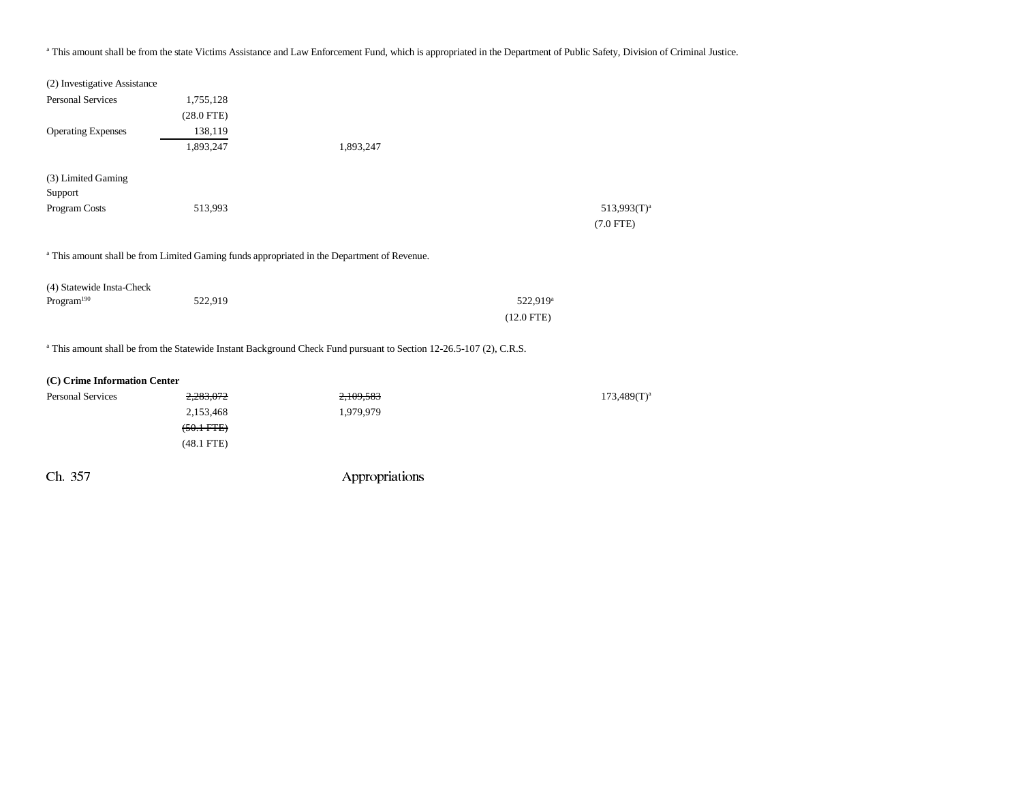### <sup>a</sup> This amount shall be from the state Victims Assistance and Law Enforcement Fund, which is appropriated in the Department of Public Safety, Division of Criminal Justice.

| (2) Investigative Assistance  |              |                                                                                                                                |                      |                                        |
|-------------------------------|--------------|--------------------------------------------------------------------------------------------------------------------------------|----------------------|----------------------------------------|
| <b>Personal Services</b>      | 1,755,128    |                                                                                                                                |                      |                                        |
|                               | $(28.0$ FTE) |                                                                                                                                |                      |                                        |
| <b>Operating Expenses</b>     | 138,119      |                                                                                                                                |                      |                                        |
|                               | 1,893,247    | 1,893,247                                                                                                                      |                      |                                        |
| (3) Limited Gaming<br>Support |              |                                                                                                                                |                      |                                        |
| Program Costs                 | 513,993      |                                                                                                                                |                      | 513,993(T) <sup>a</sup><br>$(7.0$ FTE) |
|                               |              | <sup>a</sup> This amount shall be from Limited Gaming funds appropriated in the Department of Revenue.                         |                      |                                        |
| (4) Statewide Insta-Check     |              |                                                                                                                                |                      |                                        |
| Program <sup>190</sup>        | 522,919      |                                                                                                                                | 522,919 <sup>a</sup> |                                        |
|                               |              |                                                                                                                                | $(12.0$ FTE)         |                                        |
|                               |              | <sup>a</sup> This amount shall be from the Statewide Instant Background Check Fund pursuant to Section 12-26.5-107 (2), C.R.S. |                      |                                        |
| (C) Crime Information Center  |              |                                                                                                                                |                      |                                        |
| <b>Personal Services</b>      | 2,283,072    | 2,109,583                                                                                                                      |                      | $173,489(T)^{a}$                       |
|                               | 2,153,468    | 1,979,979                                                                                                                      |                      |                                        |
|                               | $(50.1$ FTE) |                                                                                                                                |                      |                                        |
|                               | $(48.1$ FTE) |                                                                                                                                |                      |                                        |
| Ch. 357                       |              | Appropriations                                                                                                                 |                      |                                        |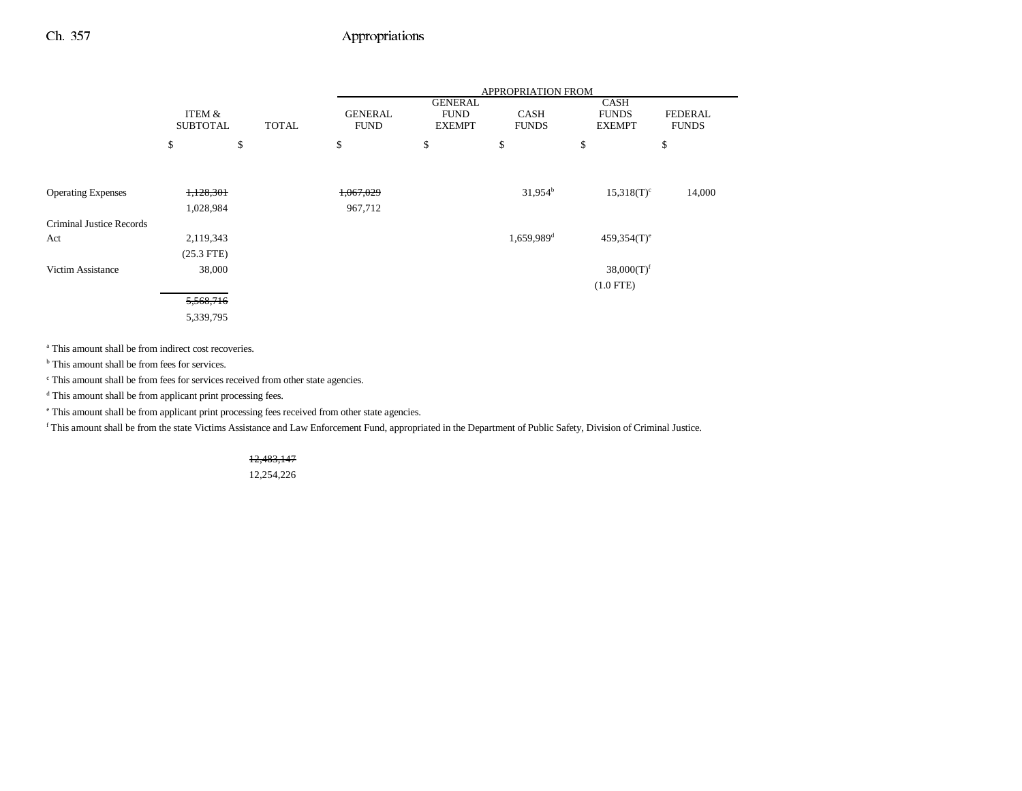|                           |                           |              | APPROPRIATION FROM            |                                                |                             |                                              |                                |  |
|---------------------------|---------------------------|--------------|-------------------------------|------------------------------------------------|-----------------------------|----------------------------------------------|--------------------------------|--|
|                           | ITEM &<br><b>SUBTOTAL</b> | <b>TOTAL</b> | <b>GENERAL</b><br><b>FUND</b> | <b>GENERAL</b><br><b>FUND</b><br><b>EXEMPT</b> | <b>CASH</b><br><b>FUNDS</b> | <b>CASH</b><br><b>FUNDS</b><br><b>EXEMPT</b> | <b>FEDERAL</b><br><b>FUNDS</b> |  |
|                           | \$                        | \$           | \$                            | \$                                             | \$                          | \$                                           | \$                             |  |
|                           |                           |              |                               |                                                |                             |                                              |                                |  |
| <b>Operating Expenses</b> | 1,128,301                 |              | 1,067,029                     |                                                | $31,954^b$                  | $15,318(T)^c$                                | 14,000                         |  |
|                           | 1,028,984                 |              | 967,712                       |                                                |                             |                                              |                                |  |
| Criminal Justice Records  |                           |              |                               |                                                |                             |                                              |                                |  |
| Act                       | 2,119,343                 |              |                               |                                                | $1,659,989$ <sup>d</sup>    | $459,354(T)$ <sup>e</sup>                    |                                |  |
|                           | $(25.3$ FTE)              |              |                               |                                                |                             |                                              |                                |  |
| Victim Assistance         | 38,000                    |              |                               |                                                |                             | $38,000(T)$ <sup>f</sup>                     |                                |  |
|                           |                           |              |                               |                                                |                             | $(1.0$ FTE)                                  |                                |  |
|                           | 5,568,716                 |              |                               |                                                |                             |                                              |                                |  |
|                           | 5,339,795                 |              |                               |                                                |                             |                                              |                                |  |

<sup>a</sup> This amount shall be from indirect cost recoveries.

<sup>b</sup> This amount shall be from fees for services.

 $\,^{\mathrm{c}}$  This amount shall be from fees for services received from other state agencies.

d This amount shall be from applicant print processing fees.

e This amount shall be from applicant print processing fees received from other state agencies.

f This amount shall be from the state Victims Assistance and Law Enforcement Fund, appropriated in the Department of Public Safety, Division of Criminal Justice.

12,483,147

12,254,226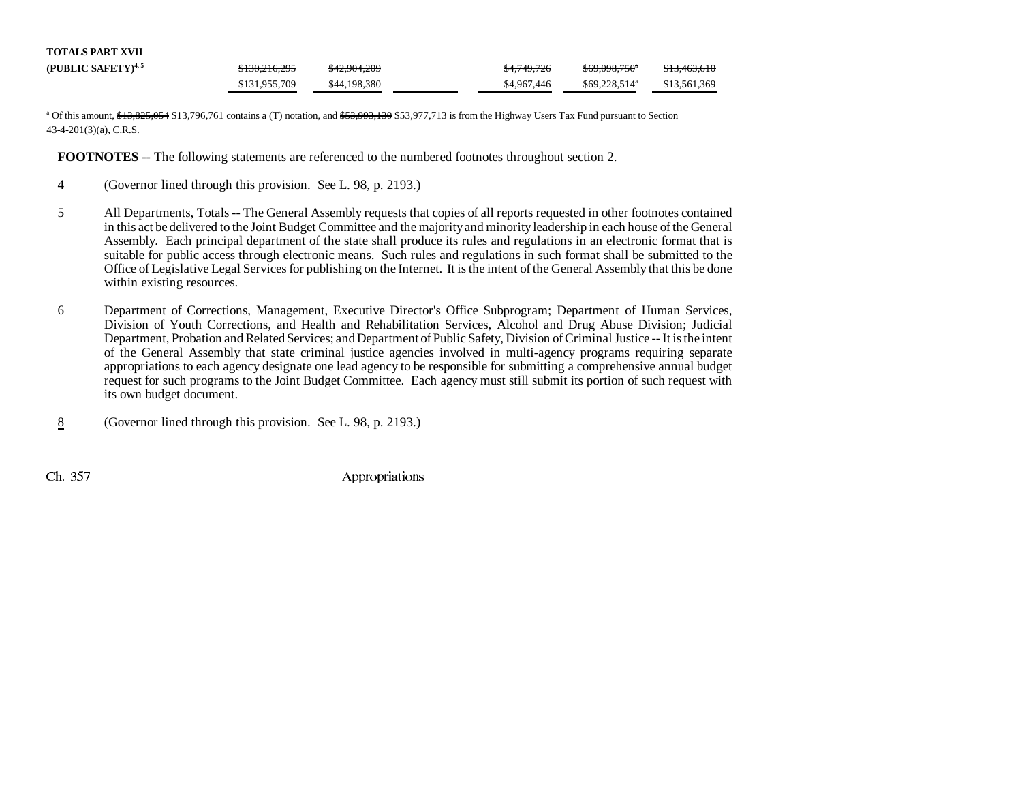| TOTALS PART XVII               |               |              |             |                           |              |
|--------------------------------|---------------|--------------|-------------|---------------------------|--------------|
| (PUBLIC SAFETY) <sup>4,5</sup> | \$130,216,295 | \$42,904,209 | \$4,749,726 | <del>\$69,098,750</del> * | \$13,463,610 |
|                                | \$131,955,709 | \$44,198,380 | \$4,967,446 | $$69.228.514^a$           | \$13,561,369 |

<sup>a</sup> Of this amount, \$13,825,054 \$13,796,761 contains a (T) notation, and \$53,993,130 \$53,977,713 is from the Highway Users Tax Fund pursuant to Section 43-4-201(3)(a), C.R.S.

**FOOTNOTES** -- The following statements are referenced to the numbered footnotes throughout section 2.

- 4 (Governor lined through this provision. See L. 98, p. 2193.)
- 5 All Departments, Totals -- The General Assembly requests that copies of all reports requested in other footnotes contained in this act be delivered to the Joint Budget Committee and the majority and minority leadership in each house of the General Assembly. Each principal department of the state shall produce its rules and regulations in an electronic format that is suitable for public access through electronic means. Such rules and regulations in such format shall be submitted to the Office of Legislative Legal Services for publishing on the Internet. It is the intent of the General Assembly that this be done within existing resources.
- 6 Department of Corrections, Management, Executive Director's Office Subprogram; Department of Human Services, Division of Youth Corrections, and Health and Rehabilitation Services, Alcohol and Drug Abuse Division; Judicial Department, Probation and Related Services; and Department of Public Safety, Division of Criminal Justice -- It is the intent of the General Assembly that state criminal justice agencies involved in multi-agency programs requiring separate appropriations to each agency designate one lead agency to be responsible for submitting a comprehensive annual budget request for such programs to the Joint Budget Committee. Each agency must still submit its portion of such request with its own budget document.
- 8(Governor lined through this provision. See L. 98, p. 2193.)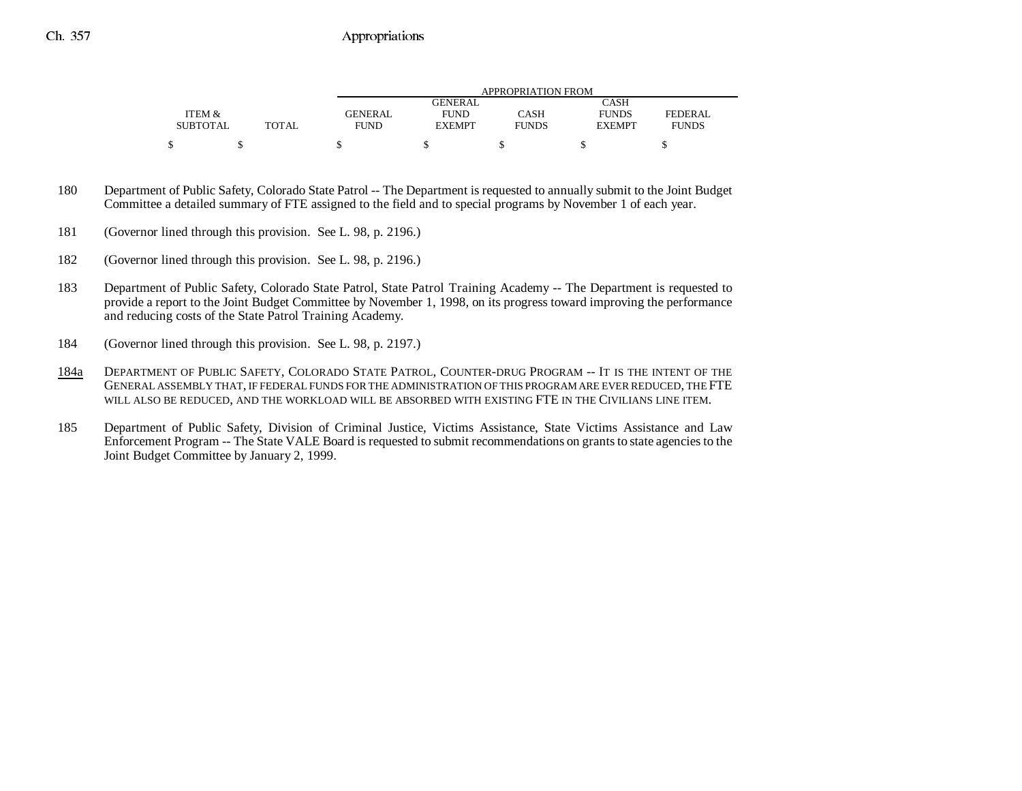|                 |              | APPROPRIATION FROM |               |              |               |              |  |  |  |
|-----------------|--------------|--------------------|---------------|--------------|---------------|--------------|--|--|--|
|                 |              |                    | GENERAL       |              | CASH          |              |  |  |  |
| ITEM &          |              | GENERAL            | <b>FUND</b>   | CASH         | <b>FUNDS</b>  | FEDERAL      |  |  |  |
| <b>SUBTOTAL</b> | <b>TOTAL</b> | <b>FUND</b>        | <b>EXEMPT</b> | <b>FUNDS</b> | <b>EXEMPT</b> | <b>FUNDS</b> |  |  |  |
|                 |              |                    |               |              |               |              |  |  |  |
|                 |              |                    |               |              |               |              |  |  |  |

- 180 Department of Public Safety, Colorado State Patrol -- The Department is requested to annually submit to the Joint Budget Committee a detailed summary of FTE assigned to the field and to special programs by November 1 of each year.
- 181 (Governor lined through this provision. See L. 98, p. 2196.)
- 182 (Governor lined through this provision. See L. 98, p. 2196.)
- 183 Department of Public Safety, Colorado State Patrol, State Patrol Training Academy -- The Department is requested to provide a report to the Joint Budget Committee by November 1, 1998, on its progress toward improving the performance and reducing costs of the State Patrol Training Academy.
- 184 (Governor lined through this provision. See L. 98, p. 2197.)
- 184a DEPARTMENT OF PUBLIC SAFETY, COLORADO STATE PATROL, COUNTER-DRUG PROGRAM -- IT IS THE INTENT OF THE GENERAL ASSEMBLY THAT, IF FEDERAL FUNDS FOR THE ADMINISTRATION OF THIS PROGRAM ARE EVER REDUCED, THE FTE WILL ALSO BE REDUCED, AND THE WORKLOAD WILL BE ABSORBED WITH EXISTING FTE IN THE CIVILIANS LINE ITEM.
- 185 Department of Public Safety, Division of Criminal Justice, Victims Assistance, State Victims Assistance and Law Enforcement Program -- The State VALE Board is requested to submit recommendations on grants to state agencies to the Joint Budget Committee by January 2, 1999.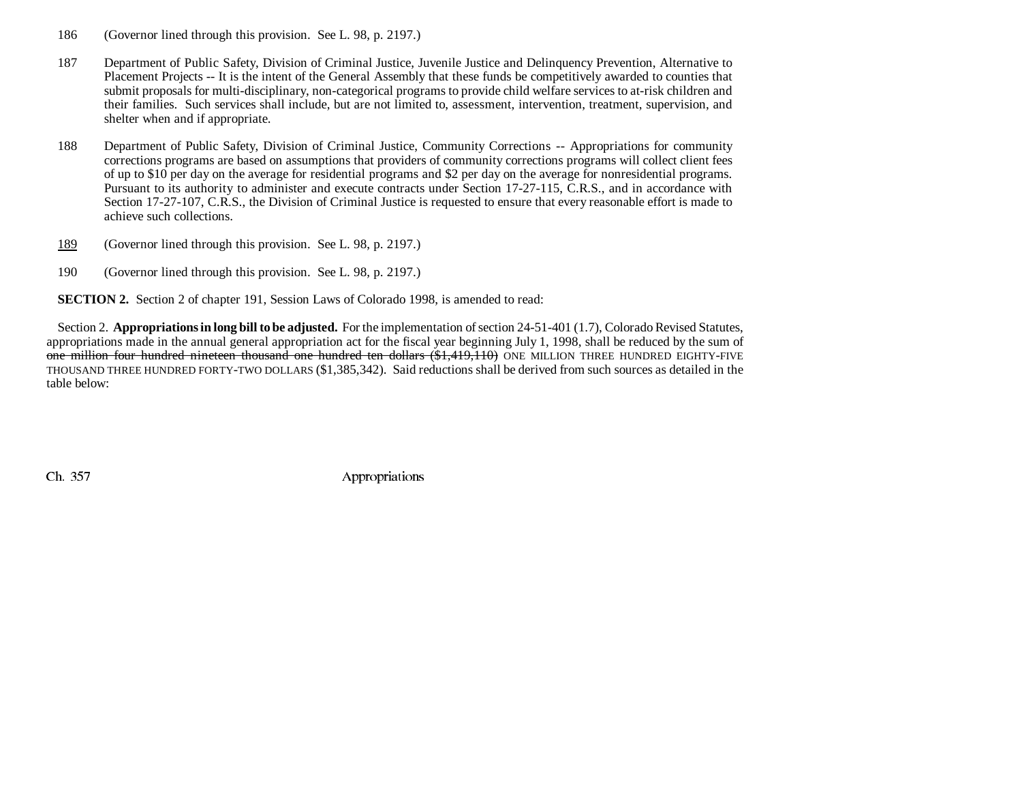- 186 (Governor lined through this provision. See L. 98, p. 2197.)
- 187 Department of Public Safety, Division of Criminal Justice, Juvenile Justice and Delinquency Prevention, Alternative to Placement Projects -- It is the intent of the General Assembly that these funds be competitively awarded to counties that submit proposals for multi-disciplinary, non-categorical programs to provide child welfare services to at-risk children and their families. Such services shall include, but are not limited to, assessment, intervention, treatment, supervision, and shelter when and if appropriate.
- 188 Department of Public Safety, Division of Criminal Justice, Community Corrections -- Appropriations for community corrections programs are based on assumptions that providers of community corrections programs will collect client fees of up to \$10 per day on the average for residential programs and \$2 per day on the average for nonresidential programs. Pursuant to its authority to administer and execute contracts under Section 17-27-115, C.R.S., and in accordance with Section 17-27-107, C.R.S., the Division of Criminal Justice is requested to ensure that every reasonable effort is made to achieve such collections.
- 189(Governor lined through this provision. See L. 98, p. 2197.)
- 190 (Governor lined through this provision. See L. 98, p. 2197.)

**SECTION 2.** Section 2 of chapter 191, Session Laws of Colorado 1998, is amended to read:

Section 2. **Appropriations in long bill to be adjusted.** For the implementation of section 24-51-401 (1.7), Colorado Revised Statutes, appropriations made in the annual general appropriation act for the fiscal year beginning July 1, 1998, shall be reduced by the sum of one million four hundred nineteen thousand one hundred ten dollars (\$1,419,110) ONE MILLION THREE HUNDRED EIGHTY-FIVE THOUSAND THREE HUNDRED FORTY-TWO DOLLARS (\$1,385,342). Said reductions shall be derived from such sources as detailed in the table below: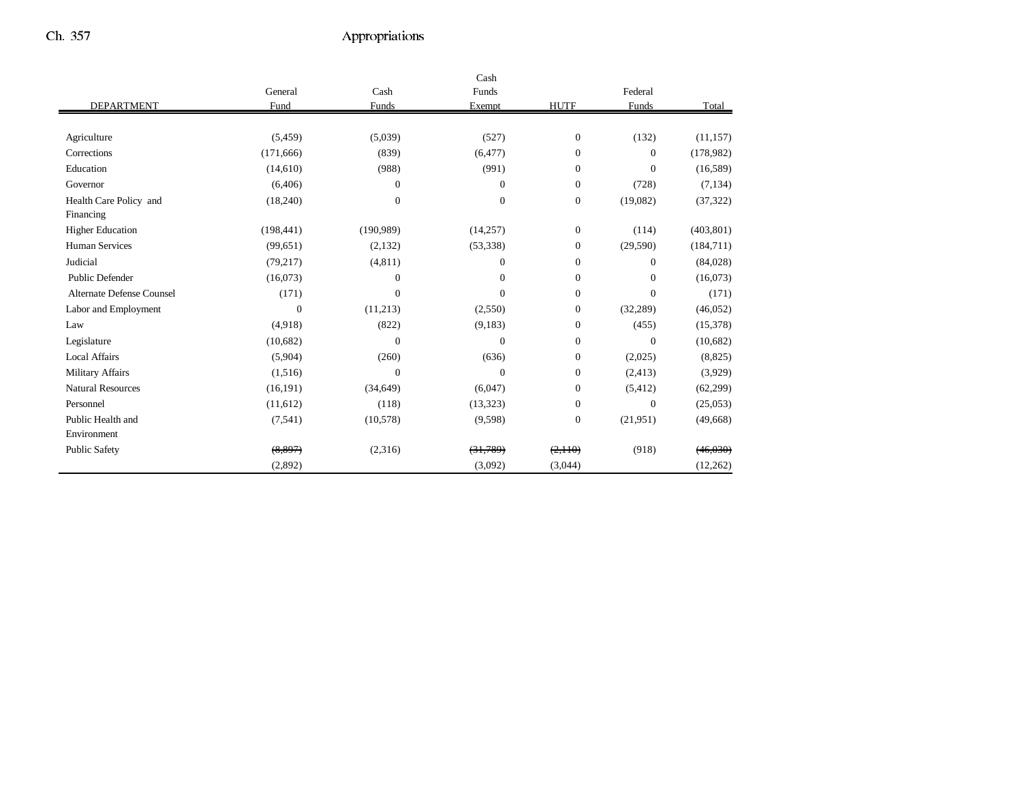|                           |                  |              | Cash             |                  |                |            |
|---------------------------|------------------|--------------|------------------|------------------|----------------|------------|
|                           | General          | Cash         | Funds            |                  | Federal        |            |
| <b>DEPARTMENT</b>         | Fund             | Funds        | Exempt           | <b>HUTF</b>      | Funds          | Total      |
|                           |                  |              |                  |                  |                |            |
| Agriculture               | (5, 459)         | (5,039)      | (527)            | $\boldsymbol{0}$ | (132)          | (11, 157)  |
| Corrections               | (171, 666)       | (839)        | (6, 477)         | $\mathbf{0}$     | $\overline{0}$ | (178,982)  |
| Education                 | (14,610)         | (988)        | (991)            | $\overline{0}$   | $\overline{0}$ | (16, 589)  |
| Governor                  | (6,406)          | $\mathbf{0}$ | $\Omega$         | $\mathbf{0}$     | (728)          | (7, 134)   |
| Health Care Policy and    | (18,240)         | $\mathbf{0}$ | $\boldsymbol{0}$ | 0                | (19,082)       | (37, 322)  |
| Financing                 |                  |              |                  |                  |                |            |
| <b>Higher Education</b>   | (198, 441)       | (190, 989)   | (14,257)         | $\overline{0}$   | (114)          | (403, 801) |
| <b>Human Services</b>     | (99, 651)        | (2,132)      | (53, 338)        | $\overline{0}$   | (29, 590)      | (184,711)  |
| Judicial                  | (79, 217)        | (4, 811)     | $\Omega$         | $\Omega$         | $\overline{0}$ | (84,028)   |
| <b>Public Defender</b>    | (16,073)         | $\mathbf{0}$ | $\mathbf{0}$     | $\overline{0}$   | $\overline{0}$ | (16,073)   |
| Alternate Defense Counsel | (171)            | $\mathbf{0}$ | $\Omega$         | $\overline{0}$   | $\overline{0}$ | (171)      |
| Labor and Employment      | $\boldsymbol{0}$ | (11,213)     | (2,550)          | $\overline{0}$   | (32, 289)      | (46, 052)  |
| Law                       | (4.918)          | (822)        | (9,183)          | $\overline{0}$   | (455)          | (15,378)   |
| Legislature               | (10,682)         | $\mathbf{0}$ | $\Omega$         | $\overline{0}$   | $\mathbf{0}$   | (10,682)   |
| <b>Local Affairs</b>      | (5,904)          | (260)        | (636)            | $\overline{0}$   | (2,025)        | (8,825)    |
| <b>Military Affairs</b>   | (1,516)          | $\mathbf{0}$ | $\Omega$         | $\overline{0}$   | (2, 413)       | (3,929)    |
| <b>Natural Resources</b>  | (16, 191)        | (34, 649)    | (6,047)          | $\overline{0}$   | (5, 412)       | (62, 299)  |
| Personnel                 | (11,612)         | (118)        | (13, 323)        | $\overline{0}$   | $\mathbf{0}$   | (25,053)   |
| Public Health and         | (7, 541)         | (10,578)     | (9,598)          | $\overline{0}$   | (21,951)       | (49,668)   |
| Environment               |                  |              |                  |                  |                |            |
| <b>Public Safety</b>      | (8,897)          | (2,316)      | (31,789)         | (2,110)          | (918)          | (46, 030)  |
|                           | (2,892)          |              | (3,092)          | (3,044)          |                | (12,262)   |